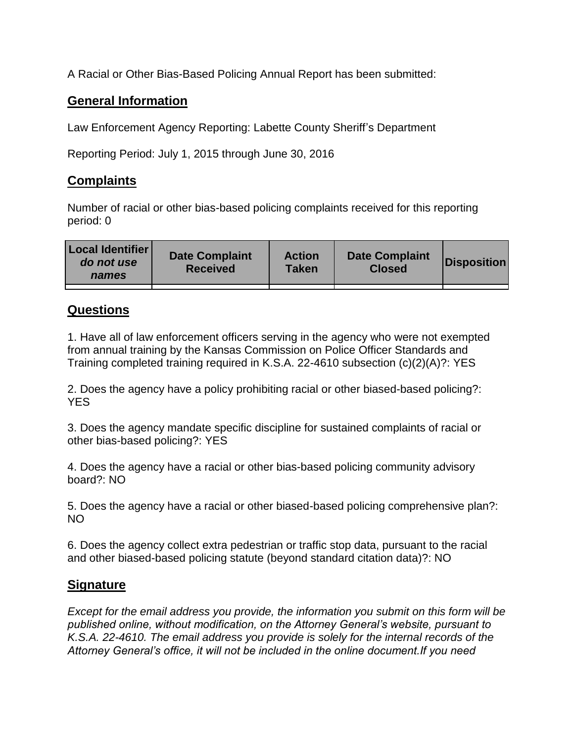A Racial or Other Bias-Based Policing Annual Report has been submitted:

## **General Information**

Law Enforcement Agency Reporting: Labette County Sheriff's Department

Reporting Period: July 1, 2015 through June 30, 2016

## **Complaints**

Number of racial or other bias-based policing complaints received for this reporting period: 0

| <b>Local Identifier</b><br>do not use<br>names | <b>Date Complaint</b><br><b>Received</b> | <b>Action</b><br><b>Taken</b> | <b>Date Complaint</b><br><b>Closed</b> | Disposition |
|------------------------------------------------|------------------------------------------|-------------------------------|----------------------------------------|-------------|
|                                                |                                          |                               |                                        |             |

## **Questions**

1. Have all of law enforcement officers serving in the agency who were not exempted from annual training by the Kansas Commission on Police Officer Standards and Training completed training required in K.S.A. 22-4610 subsection (c)(2)(A)?: YES

2. Does the agency have a policy prohibiting racial or other biased-based policing?: YES

3. Does the agency mandate specific discipline for sustained complaints of racial or other bias-based policing?: YES

4. Does the agency have a racial or other bias-based policing community advisory board?: NO

5. Does the agency have a racial or other biased-based policing comprehensive plan?: NO

6. Does the agency collect extra pedestrian or traffic stop data, pursuant to the racial and other biased-based policing statute (beyond standard citation data)?: NO

## **Signature**

*Except for the email address you provide, the information you submit on this form will be published online, without modification, on the Attorney General's website, pursuant to K.S.A. 22-4610. The email address you provide is solely for the internal records of the Attorney General's office, it will not be included in the online document.If you need*